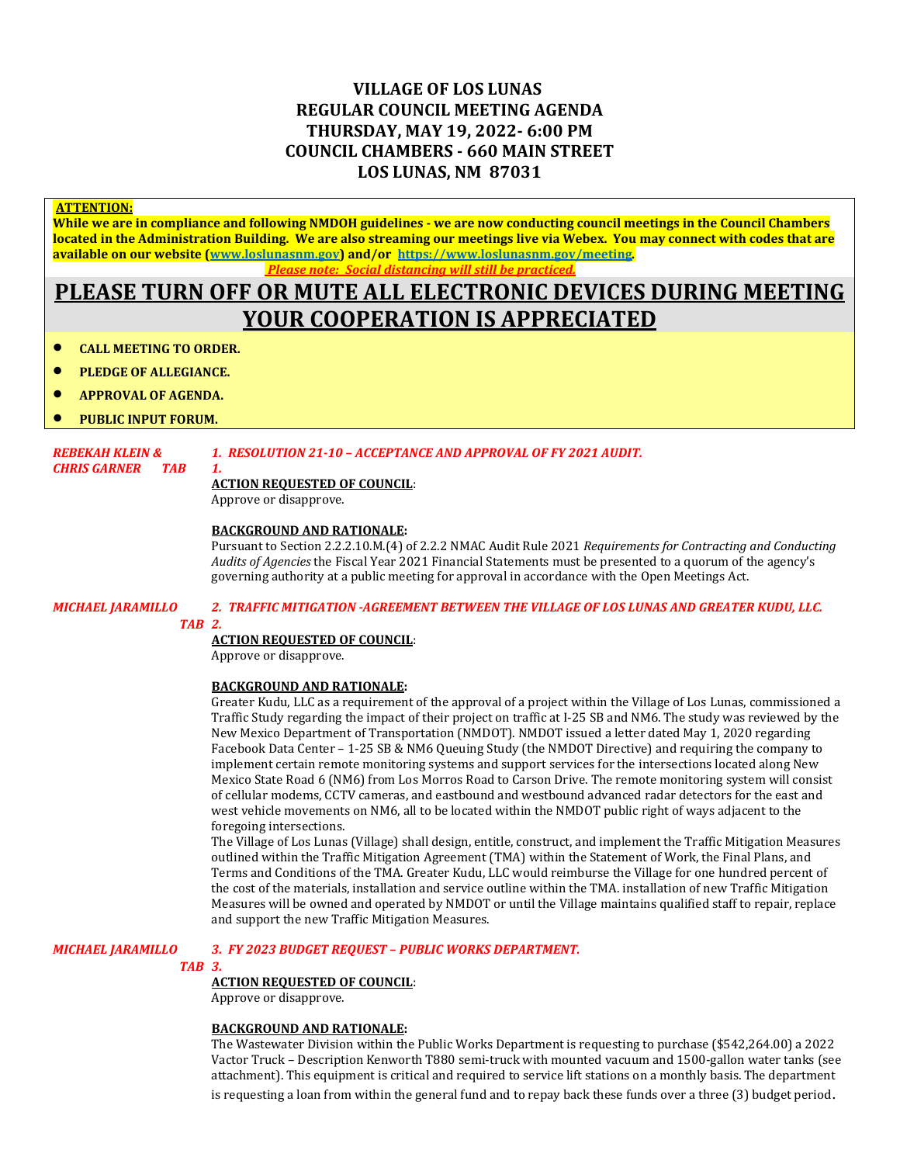# **VILLAGE OF LOS LUNAS REGULAR COUNCIL MEETING AGENDA THURSDAY, MAY 19, 2022- 6:00 PM COUNCIL CHAMBERS - 660 MAIN STREET LOS LUNAS, NM 87031**

#### **ATTENTION:**

**While we are in compliance and following NMDOH guidelines - we are now conducting council meetings in the Council Chambers located in the Administration Building. We are also streaming our meetings live via Webex. You may connect with codes that are available on our website [\(www.loslunasnm.gov\)](http://www.loslunasnm.gov/) and/or<https://www.loslunasnm.gov/meeting>***. Please note: Social distancing will still be practiced.*

# **PLEASE TURN OFF OR MUTE ALL ELECTRONIC DEVICES DURING MEETING YOUR COOPERATION IS APPRECIATED**

- **CALL MEETING TO ORDER.**
- **PLEDGE OF ALLEGIANCE.**
- **APPROVAL OF AGENDA.**
- **PUBLIC INPUT FORUM.**

## *REBEKAH KLEIN & 1. RESOLUTION 21-10 – ACCEPTANCE AND APPROVAL OF FY 2021 AUDIT.*

#### *CHRIS GARNER TAB 1.* **ACTION REQUESTED OF COUNCIL**:

Approve or disapprove.

#### **BACKGROUND AND RATIONALE:**

Pursuant to Section 2.2.2.10.M.(4) of 2.2.2 NMAC Audit Rule 2021 *Requirements for Contracting and Conducting Audits of Agencies* the Fiscal Year 2021 Financial Statements must be presented to a quorum of the agency's governing authority at a public meeting for approval in accordance with the Open Meetings Act.

# *MICHAEL JARAMILLO 2. TRAFFIC MITIGATION -AGREEMENT BETWEEN THE VILLAGE OF LOS LUNAS AND GREATER KUDU, LLC.*

#### *TAB 2.*

### **ACTION REQUESTED OF COUNCIL**:

Approve or disapprove.

#### **BACKGROUND AND RATIONALE:**

Greater Kudu, LLC as a requirement of the approval of a project within the Village of Los Lunas, commissioned a Traffic Study regarding the impact of their project on traffic at I-25 SB and NM6. The study was reviewed by the New Mexico Department of Transportation (NMDOT). NMDOT issued a letter dated May 1, 2020 regarding Facebook Data Center – 1-25 SB & NM6 Queuing Study (the NMDOT Directive) and requiring the company to implement certain remote monitoring systems and support services for the intersections located along New Mexico State Road 6 (NM6) from Los Morros Road to Carson Drive. The remote monitoring system will consist of cellular modems, CCTV cameras, and eastbound and westbound advanced radar detectors for the east and west vehicle movements on NM6, all to be located within the NMDOT public right of ways adjacent to the foregoing intersections.

The Village of Los Lunas (Village) shall design, entitle, construct, and implement the Traffic Mitigation Measures outlined within the Traffic Mitigation Agreement (TMA) within the Statement of Work, the Final Plans, and Terms and Conditions of the TMA. Greater Kudu, LLC would reimburse the Village for one hundred percent of the cost of the materials, installation and service outline within the TMA. installation of new Traffic Mitigation Measures will be owned and operated by NMDOT or until the Village maintains qualified staff to repair, replace and support the new Traffic Mitigation Measures.

#### *MICHAEL JARAMILLO 3. FY 2023 BUDGET REQUEST – PUBLIC WORKS DEPARTMENT.*

#### *TAB 3.*

#### **ACTION REQUESTED OF COUNCIL**:

Approve or disapprove.

#### **BACKGROUND AND RATIONALE:**

The Wastewater Division within the Public Works Department is requesting to purchase (\$542,264.00) a 2022 Vactor Truck – Description Kenworth T880 semi-truck with mounted vacuum and 1500-gallon water tanks (see attachment). This equipment is critical and required to service lift stations on a monthly basis. The department is requesting a loan from within the general fund and to repay back these funds over a three (3) budget period.